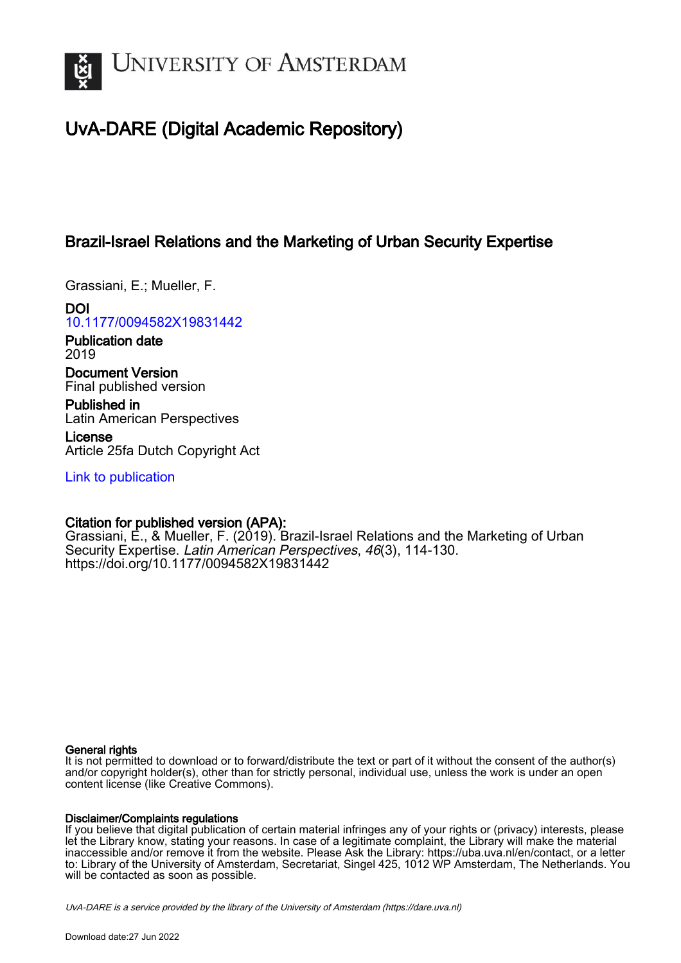

# UvA-DARE (Digital Academic Repository)

## Brazil-Israel Relations and the Marketing of Urban Security Expertise

Grassiani, E.; Mueller, F.

DOI [10.1177/0094582X19831442](https://doi.org/10.1177/0094582X19831442)

Publication date 2019

Document Version Final published version

Published in Latin American Perspectives

License Article 25fa Dutch Copyright Act

[Link to publication](https://dare.uva.nl/personal/pure/en/publications/brazilisrael-relations-and-the-marketing-of-urban-security-expertise(0997e586-8ce7-46e9-af1f-ae1a15101388).html)

## Citation for published version (APA):

Grassiani, E., & Mueller, F. (2019). Brazil-Israel Relations and the Marketing of Urban Security Expertise. Latin American Perspectives, 46(3), 114-130. <https://doi.org/10.1177/0094582X19831442>

## General rights

It is not permitted to download or to forward/distribute the text or part of it without the consent of the author(s) and/or copyright holder(s), other than for strictly personal, individual use, unless the work is under an open content license (like Creative Commons).

## Disclaimer/Complaints regulations

If you believe that digital publication of certain material infringes any of your rights or (privacy) interests, please let the Library know, stating your reasons. In case of a legitimate complaint, the Library will make the material inaccessible and/or remove it from the website. Please Ask the Library: https://uba.uva.nl/en/contact, or a letter to: Library of the University of Amsterdam, Secretariat, Singel 425, 1012 WP Amsterdam, The Netherlands. You will be contacted as soon as possible.

UvA-DARE is a service provided by the library of the University of Amsterdam (http*s*://dare.uva.nl)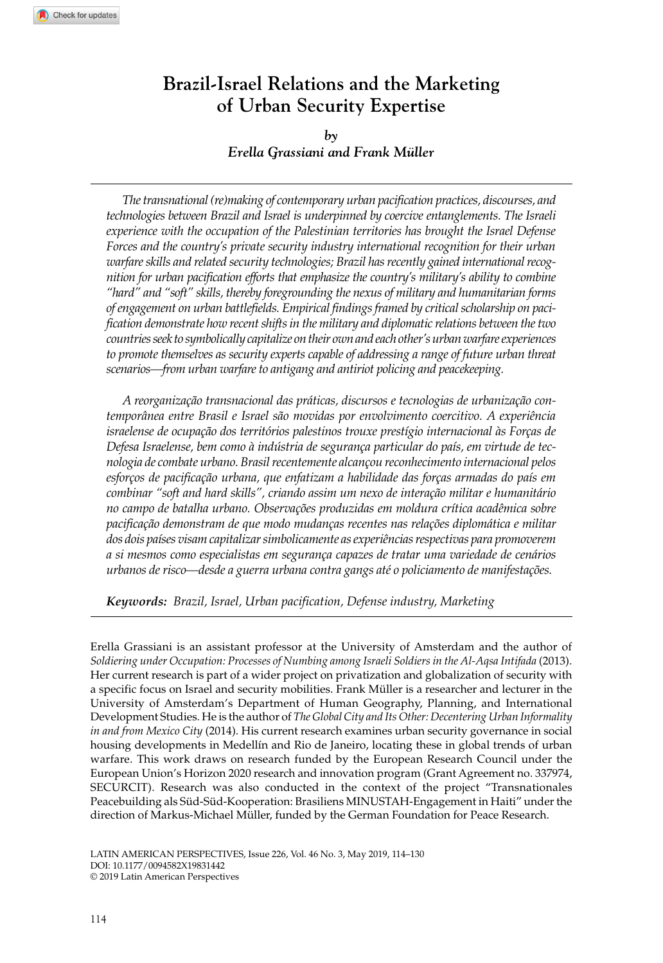## **Brazil-Israel Relations and the Marketing of Urban Security Expertise**

## *by Erella Grassiani and Frank Müller*

*The transnational (re)making of contemporary urban pacification practices, discourses, and technologies between Brazil and Israel is underpinned by coercive entanglements. The Israeli experience with the occupation of the Palestinian territories has brought the Israel Defense Forces and the country's private security industry international recognition for their urban warfare skills and related security technologies; Brazil has recently gained international recognition for urban pacification efforts that emphasize the country's military's ability to combine "hard" and "soft" skills, thereby foregrounding the nexus of military and humanitarian forms of engagement on urban battlefields. Empirical findings framed by critical scholarship on pacification demonstrate how recent shifts in the military and diplomatic relations between the two countries seek to symbolically capitalize on their own and each other's urban warfare experiences to promote themselves as security experts capable of addressing a range of future urban threat scenarios—from urban warfare to antigang and antiriot policing and peacekeeping.*

*A reorganização transnacional das práticas, discursos e tecnologias de urbanização contemporânea entre Brasil e Israel são movidas por envolvimento coercitivo. A experiência israelense de ocupação dos territórios palestinos trouxe prestígio internacional às Forças de Defesa Israelense, bem como à indústria de segurança particular do país, em virtude de tecnologia de combate urbano. Brasil recentemente alcançou reconhecimento internacional pelos esforços de pacificação urbana, que enfatizam a habilidade das forças armadas do país em combinar "soft and hard skills", criando assim um nexo de interação militar e humanitário no campo de batalha urbano. Observações produzidas em moldura crítica acadêmica sobre pacificação demonstram de que modo mudanças recentes nas relações diplomática e militar dos dois países visam capitalizar simbolicamente as experiências respectivas para promoverem a si mesmos como especialistas em segurança capazes de tratar uma variedade de cenários urbanos de risco—desde a guerra urbana contra gangs até o policiamento de manifestações.*

*Keywords: Brazil, Israel, Urban pacification, Defense industry, Marketing*

Erella Grassiani is an assistant professor at the University of Amsterdam and the author of *Soldiering under Occupation: Processes of Numbing among Israeli Soldiers in the Al-Aqsa Intifada* (2013). Her current research is part of a wider project on privatization and globalization of security with a specific focus on Israel and security mobilities. Frank Müller is a researcher and lecturer in the University of Amsterdam's Department of Human Geography, Planning, and International Development Studies. He is the author of *The Global City and Its Other: Decentering Urban Informality in and from Mexico City* (2014). His current research examines urban security governance in social housing developments in Medellín and Rio de Janeiro, locating these in global trends of urban warfare. This work draws on research funded by the European Research Council under the European Union's Horizon 2020 research and innovation program (Grant Agreement no. 337974, SECURCIT). Research was also conducted in the context of the project "Transnationales Peacebuilding als Süd-Süd-Kooperation: Brasiliens MINUSTAH-Engagement in Haiti" under the direction of Markus-Michael Müller, funded by the German Foundation for Peace Research.

DOI: 10.1177/0094582X19831442 LATIN AMERICAN PERSPECTIVES, Issue 226, Vol. 46 No. 3, May 2019, 114–130 © 2019 Latin American Perspectives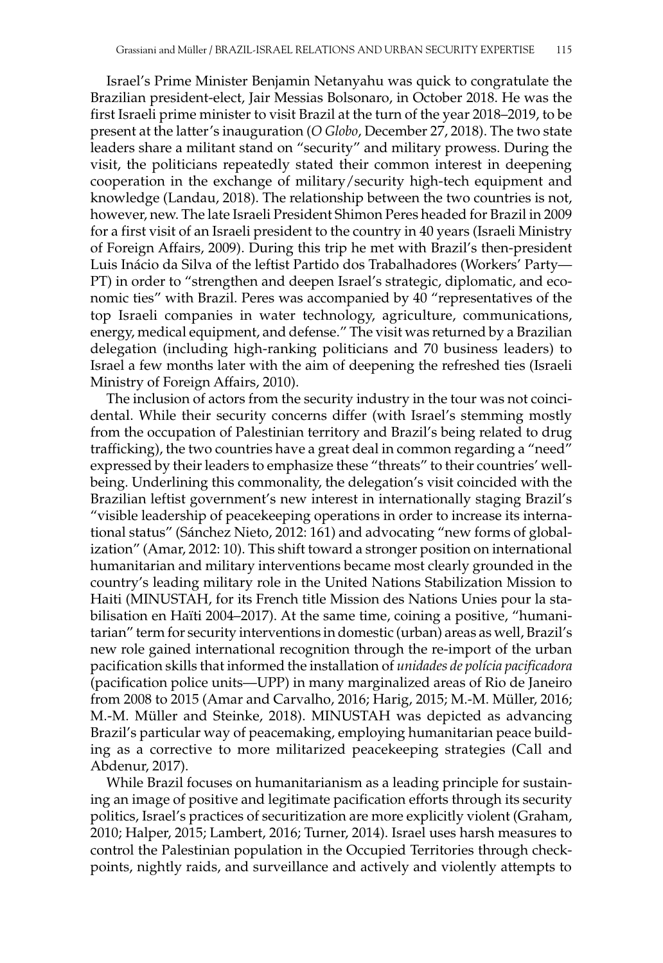Israel's Prime Minister Benjamin Netanyahu was quick to congratulate the Brazilian president-elect, Jair Messias Bolsonaro, in October 2018. He was the first Israeli prime minister to visit Brazil at the turn of the year 2018–2019, to be present at the latter's inauguration (*O Globo*, December 27, 2018). The two state leaders share a militant stand on "security" and military prowess. During the visit, the politicians repeatedly stated their common interest in deepening cooperation in the exchange of military/security high-tech equipment and knowledge (Landau, 2018). The relationship between the two countries is not, however, new. The late Israeli President Shimon Peres headed for Brazil in 2009 for a first visit of an Israeli president to the country in 40 years (Israeli Ministry of Foreign Affairs, 2009). During this trip he met with Brazil's then-president Luis Inácio da Silva of the leftist Partido dos Trabalhadores (Workers' Party— PT) in order to "strengthen and deepen Israel's strategic, diplomatic, and economic ties" with Brazil. Peres was accompanied by 40 "representatives of the top Israeli companies in water technology, agriculture, communications, energy, medical equipment, and defense." The visit was returned by a Brazilian delegation (including high-ranking politicians and 70 business leaders) to Israel a few months later with the aim of deepening the refreshed ties (Israeli Ministry of Foreign Affairs, 2010).

The inclusion of actors from the security industry in the tour was not coincidental. While their security concerns differ (with Israel's stemming mostly from the occupation of Palestinian territory and Brazil's being related to drug trafficking), the two countries have a great deal in common regarding a "need" expressed by their leaders to emphasize these "threats" to their countries' wellbeing. Underlining this commonality, the delegation's visit coincided with the Brazilian leftist government's new interest in internationally staging Brazil's "visible leadership of peacekeeping operations in order to increase its international status" (Sánchez Nieto, 2012: 161) and advocating "new forms of globalization" (Amar, 2012: 10). This shift toward a stronger position on international humanitarian and military interventions became most clearly grounded in the country's leading military role in the United Nations Stabilization Mission to Haiti (MINUSTAH, for its French title Mission des Nations Unies pour la stabilisation en Haïti 2004–2017). At the same time, coining a positive, "humanitarian" term for security interventions in domestic (urban) areas as well, Brazil's new role gained international recognition through the re-import of the urban pacification skills that informed the installation of *unidades de polícia pacificadora* (pacification police units—UPP) in many marginalized areas of Rio de Janeiro from 2008 to 2015 (Amar and Carvalho, 2016; Harig, 2015; M.-M. Müller, 2016; M.-M. Müller and Steinke, 2018). MINUSTAH was depicted as advancing Brazil's particular way of peacemaking, employing humanitarian peace building as a corrective to more militarized peacekeeping strategies (Call and Abdenur, 2017).

While Brazil focuses on humanitarianism as a leading principle for sustaining an image of positive and legitimate pacification efforts through its security politics, Israel's practices of securitization are more explicitly violent (Graham, 2010; Halper, 2015; Lambert, 2016; Turner, 2014). Israel uses harsh measures to control the Palestinian population in the Occupied Territories through checkpoints, nightly raids, and surveillance and actively and violently attempts to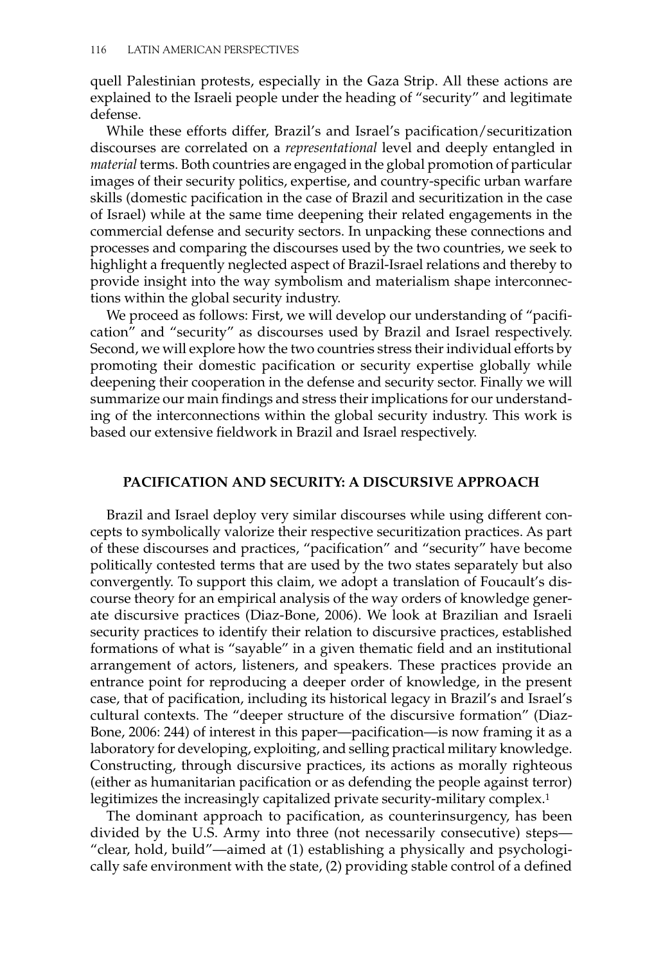quell Palestinian protests, especially in the Gaza Strip. All these actions are explained to the Israeli people under the heading of "security" and legitimate defense.

While these efforts differ, Brazil's and Israel's pacification/securitization discourses are correlated on a *representational* level and deeply entangled in *material* terms. Both countries are engaged in the global promotion of particular images of their security politics, expertise, and country-specific urban warfare skills (domestic pacification in the case of Brazil and securitization in the case of Israel) while at the same time deepening their related engagements in the commercial defense and security sectors. In unpacking these connections and processes and comparing the discourses used by the two countries, we seek to highlight a frequently neglected aspect of Brazil-Israel relations and thereby to provide insight into the way symbolism and materialism shape interconnections within the global security industry.

We proceed as follows: First, we will develop our understanding of "pacification" and "security" as discourses used by Brazil and Israel respectively. Second, we will explore how the two countries stress their individual efforts by promoting their domestic pacification or security expertise globally while deepening their cooperation in the defense and security sector. Finally we will summarize our main findings and stress their implications for our understanding of the interconnections within the global security industry. This work is based our extensive fieldwork in Brazil and Israel respectively.

## **Pacification and Security: A Discursive Approach**

Brazil and Israel deploy very similar discourses while using different concepts to symbolically valorize their respective securitization practices. As part of these discourses and practices, "pacification" and "security" have become politically contested terms that are used by the two states separately but also convergently. To support this claim, we adopt a translation of Foucault's discourse theory for an empirical analysis of the way orders of knowledge generate discursive practices (Diaz-Bone, 2006). We look at Brazilian and Israeli security practices to identify their relation to discursive practices, established formations of what is "sayable" in a given thematic field and an institutional arrangement of actors, listeners, and speakers. These practices provide an entrance point for reproducing a deeper order of knowledge, in the present case, that of pacification, including its historical legacy in Brazil's and Israel's cultural contexts. The "deeper structure of the discursive formation" (Diaz-Bone, 2006: 244) of interest in this paper—pacification—is now framing it as a laboratory for developing, exploiting, and selling practical military knowledge. Constructing, through discursive practices, its actions as morally righteous (either as humanitarian pacification or as defending the people against terror) legitimizes the increasingly capitalized private security-military complex.1

The dominant approach to pacification, as counterinsurgency, has been divided by the U.S. Army into three (not necessarily consecutive) steps— "clear, hold, build"—aimed at (1) establishing a physically and psychologically safe environment with the state, (2) providing stable control of a defined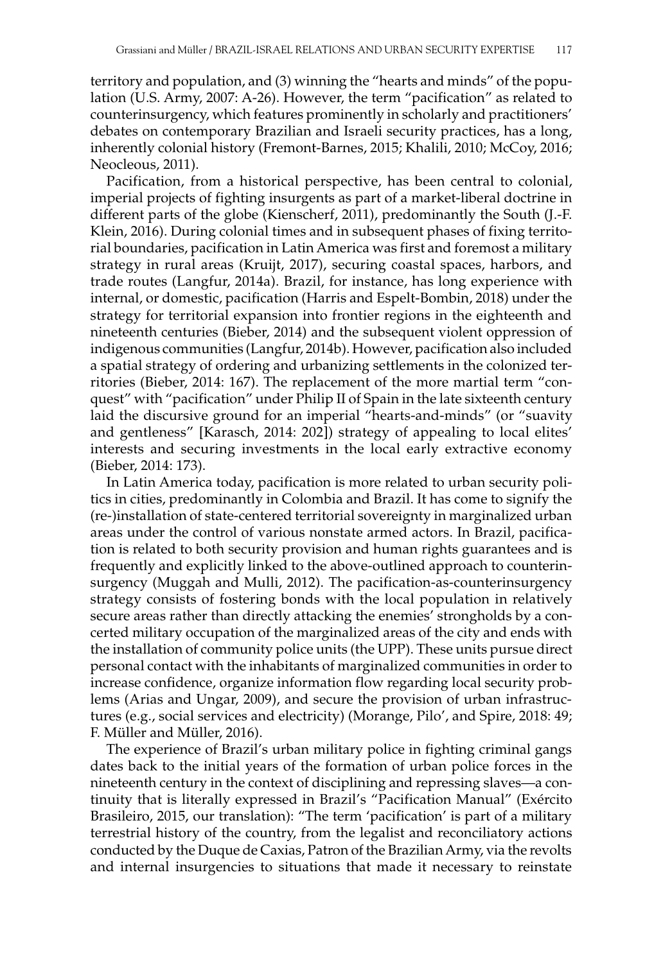territory and population, and (3) winning the "hearts and minds" of the population (U.S. Army, 2007: A-26). However, the term "pacification" as related to counterinsurgency, which features prominently in scholarly and practitioners' debates on contemporary Brazilian and Israeli security practices, has a long, inherently colonial history (Fremont-Barnes, 2015; Khalili, 2010; McCoy, 2016; Neocleous, 2011).

Pacification, from a historical perspective, has been central to colonial, imperial projects of fighting insurgents as part of a market-liberal doctrine in different parts of the globe (Kienscherf, 2011), predominantly the South (J.-F. Klein, 2016). During colonial times and in subsequent phases of fixing territorial boundaries, pacification in Latin America was first and foremost a military strategy in rural areas (Kruijt, 2017), securing coastal spaces, harbors, and trade routes (Langfur, 2014a). Brazil, for instance, has long experience with internal, or domestic, pacification (Harris and Espelt-Bombin, 2018) under the strategy for territorial expansion into frontier regions in the eighteenth and nineteenth centuries (Bieber, 2014) and the subsequent violent oppression of indigenous communities (Langfur, 2014b). However, pacification also included a spatial strategy of ordering and urbanizing settlements in the colonized territories (Bieber, 2014: 167). The replacement of the more martial term "conquest" with "pacification" under Philip II of Spain in the late sixteenth century laid the discursive ground for an imperial "hearts-and-minds" (or "suavity and gentleness" [Karasch, 2014: 202]) strategy of appealing to local elites' interests and securing investments in the local early extractive economy (Bieber, 2014: 173).

In Latin America today, pacification is more related to urban security politics in cities, predominantly in Colombia and Brazil. It has come to signify the (re-)installation of state-centered territorial sovereignty in marginalized urban areas under the control of various nonstate armed actors. In Brazil, pacification is related to both security provision and human rights guarantees and is frequently and explicitly linked to the above-outlined approach to counterinsurgency (Muggah and Mulli, 2012). The pacification-as-counterinsurgency strategy consists of fostering bonds with the local population in relatively secure areas rather than directly attacking the enemies' strongholds by a concerted military occupation of the marginalized areas of the city and ends with the installation of community police units (the UPP). These units pursue direct personal contact with the inhabitants of marginalized communities in order to increase confidence, organize information flow regarding local security problems (Arias and Ungar, 2009), and secure the provision of urban infrastructures (e.g., social services and electricity) (Morange, Pilo', and Spire, 2018: 49; F. Müller and Müller, 2016).

The experience of Brazil's urban military police in fighting criminal gangs dates back to the initial years of the formation of urban police forces in the nineteenth century in the context of disciplining and repressing slaves—a continuity that is literally expressed in Brazil's "Pacification Manual" (Exército Brasileiro, 2015, our translation): "The term 'pacification' is part of a military terrestrial history of the country, from the legalist and reconciliatory actions conducted by the Duque de Caxias, Patron of the Brazilian Army, via the revolts and internal insurgencies to situations that made it necessary to reinstate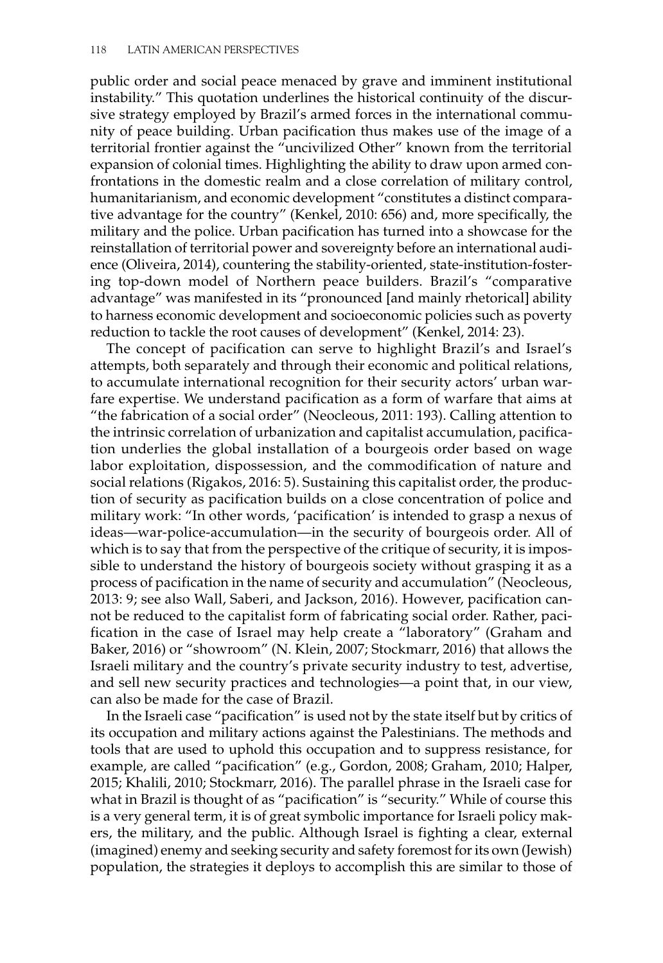public order and social peace menaced by grave and imminent institutional instability." This quotation underlines the historical continuity of the discursive strategy employed by Brazil's armed forces in the international community of peace building. Urban pacification thus makes use of the image of a territorial frontier against the "uncivilized Other" known from the territorial expansion of colonial times. Highlighting the ability to draw upon armed confrontations in the domestic realm and a close correlation of military control, humanitarianism, and economic development "constitutes a distinct comparative advantage for the country" (Kenkel, 2010: 656) and, more specifically, the military and the police. Urban pacification has turned into a showcase for the reinstallation of territorial power and sovereignty before an international audience (Oliveira, 2014), countering the stability-oriented, state-institution-fostering top-down model of Northern peace builders. Brazil's "comparative advantage" was manifested in its "pronounced [and mainly rhetorical] ability to harness economic development and socioeconomic policies such as poverty reduction to tackle the root causes of development" (Kenkel, 2014: 23).

The concept of pacification can serve to highlight Brazil's and Israel's attempts, both separately and through their economic and political relations, to accumulate international recognition for their security actors' urban warfare expertise. We understand pacification as a form of warfare that aims at "the fabrication of a social order" (Neocleous, 2011: 193). Calling attention to the intrinsic correlation of urbanization and capitalist accumulation, pacification underlies the global installation of a bourgeois order based on wage labor exploitation, dispossession, and the commodification of nature and social relations (Rigakos, 2016: 5). Sustaining this capitalist order, the production of security as pacification builds on a close concentration of police and military work: "In other words, 'pacification' is intended to grasp a nexus of ideas—war-police-accumulation—in the security of bourgeois order. All of which is to say that from the perspective of the critique of security, it is impossible to understand the history of bourgeois society without grasping it as a process of pacification in the name of security and accumulation" (Neocleous, 2013: 9; see also Wall, Saberi, and Jackson, 2016). However, pacification cannot be reduced to the capitalist form of fabricating social order. Rather, pacification in the case of Israel may help create a "laboratory" (Graham and Baker, 2016) or "showroom" (N. Klein, 2007; Stockmarr, 2016) that allows the Israeli military and the country's private security industry to test, advertise, and sell new security practices and technologies—a point that, in our view, can also be made for the case of Brazil.

In the Israeli case "pacification" is used not by the state itself but by critics of its occupation and military actions against the Palestinians. The methods and tools that are used to uphold this occupation and to suppress resistance, for example, are called "pacification" (e.g., Gordon, 2008; Graham, 2010; Halper, 2015; Khalili, 2010; Stockmarr, 2016). The parallel phrase in the Israeli case for what in Brazil is thought of as "pacification" is "security." While of course this is a very general term, it is of great symbolic importance for Israeli policy makers, the military, and the public. Although Israel is fighting a clear, external (imagined) enemy and seeking security and safety foremost for its own (Jewish) population, the strategies it deploys to accomplish this are similar to those of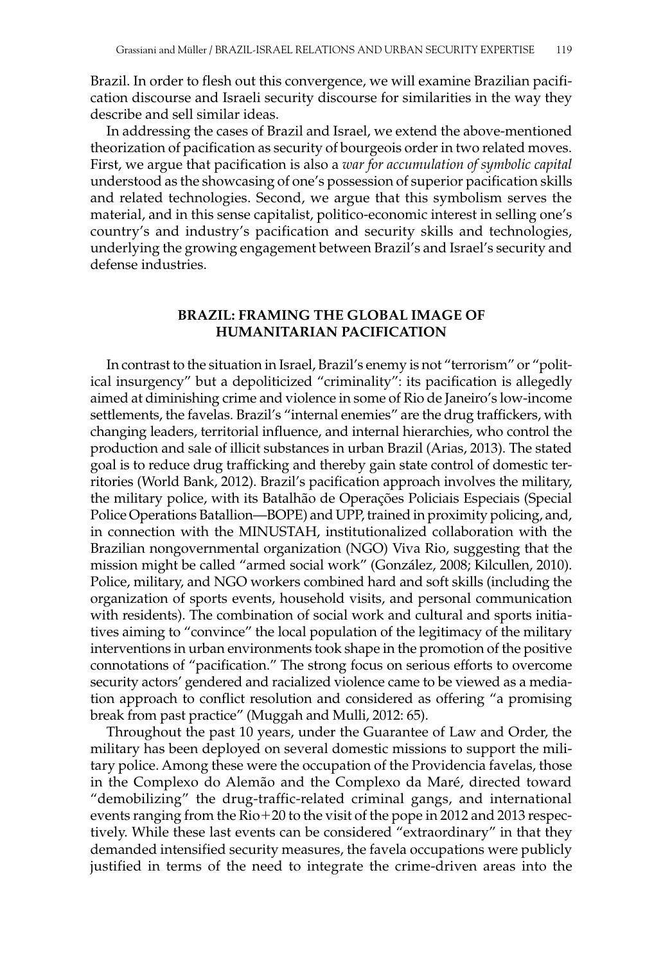Brazil. In order to flesh out this convergence, we will examine Brazilian pacification discourse and Israeli security discourse for similarities in the way they describe and sell similar ideas.

In addressing the cases of Brazil and Israel, we extend the above-mentioned theorization of pacification as security of bourgeois order in two related moves. First, we argue that pacification is also a *war for accumulation of symbolic capital* understood as the showcasing of one's possession of superior pacification skills and related technologies. Second, we argue that this symbolism serves the material, and in this sense capitalist, politico-economic interest in selling one's country's and industry's pacification and security skills and technologies, underlying the growing engagement between Brazil's and Israel's security and defense industries.

## **Brazil: Framing The Global Image of Humanitarian Pacification**

In contrast to the situation in Israel, Brazil's enemy is not "terrorism" or "political insurgency" but a depoliticized "criminality": its pacification is allegedly aimed at diminishing crime and violence in some of Rio de Janeiro's low-income settlements, the favelas. Brazil's "internal enemies" are the drug traffickers, with changing leaders, territorial influence, and internal hierarchies, who control the production and sale of illicit substances in urban Brazil (Arias, 2013). The stated goal is to reduce drug trafficking and thereby gain state control of domestic territories (World Bank, 2012). Brazil's pacification approach involves the military, the military police, with its Batalhão de Operações Policiais Especiais (Special Police Operations Batallion—BOPE) and UPP, trained in proximity policing, and, in connection with the MINUSTAH, institutionalized collaboration with the Brazilian nongovernmental organization (NGO) Viva Rio, suggesting that the mission might be called "armed social work" (González, 2008; Kilcullen, 2010). Police, military, and NGO workers combined hard and soft skills (including the organization of sports events, household visits, and personal communication with residents). The combination of social work and cultural and sports initiatives aiming to "convince" the local population of the legitimacy of the military interventions in urban environments took shape in the promotion of the positive connotations of "pacification." The strong focus on serious efforts to overcome security actors' gendered and racialized violence came to be viewed as a mediation approach to conflict resolution and considered as offering "a promising break from past practice" (Muggah and Mulli, 2012: 65).

Throughout the past 10 years, under the Guarantee of Law and Order, the military has been deployed on several domestic missions to support the military police. Among these were the occupation of the Providencia favelas, those in the Complexo do Alemão and the Complexo da Maré, directed toward "demobilizing" the drug-traffic-related criminal gangs, and international events ranging from the Rio+20 to the visit of the pope in 2012 and 2013 respectively. While these last events can be considered "extraordinary" in that they demanded intensified security measures, the favela occupations were publicly justified in terms of the need to integrate the crime-driven areas into the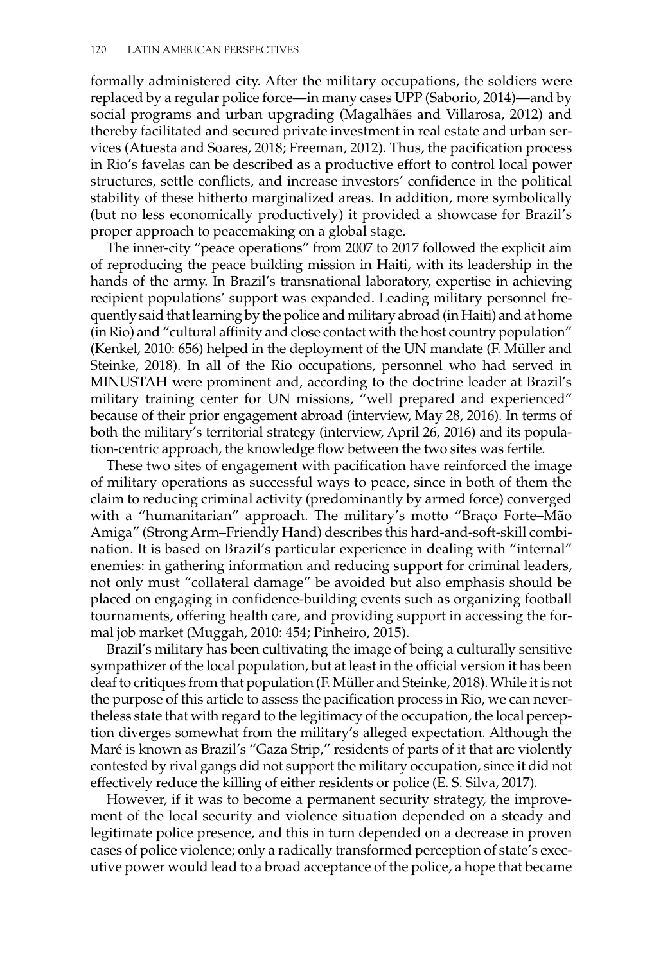formally administered city. After the military occupations, the soldiers were replaced by a regular police force—in many cases UPP (Saborio, 2014)—and by social programs and urban upgrading (Magalhães and Villarosa, 2012) and thereby facilitated and secured private investment in real estate and urban services (Atuesta and Soares, 2018; Freeman, 2012). Thus, the pacification process in Rio's favelas can be described as a productive effort to control local power structures, settle conflicts, and increase investors' confidence in the political stability of these hitherto marginalized areas. In addition, more symbolically (but no less economically productively) it provided a showcase for Brazil's proper approach to peacemaking on a global stage.

The inner-city "peace operations" from 2007 to 2017 followed the explicit aim of reproducing the peace building mission in Haiti, with its leadership in the hands of the army. In Brazil's transnational laboratory, expertise in achieving recipient populations' support was expanded. Leading military personnel frequently said that learning by the police and military abroad (in Haiti) and at home (in Rio) and "cultural affinity and close contact with the host country population" (Kenkel, 2010: 656) helped in the deployment of the UN mandate (F. Müller and Steinke, 2018). In all of the Rio occupations, personnel who had served in MINUSTAH were prominent and, according to the doctrine leader at Brazil's military training center for UN missions, "well prepared and experienced" because of their prior engagement abroad (interview, May 28, 2016). In terms of both the military's territorial strategy (interview, April 26, 2016) and its population-centric approach, the knowledge flow between the two sites was fertile.

These two sites of engagement with pacification have reinforced the image of military operations as successful ways to peace, since in both of them the claim to reducing criminal activity (predominantly by armed force) converged with a "humanitarian" approach. The military's motto "Braço Forte–Mão Amiga" (Strong Arm–Friendly Hand) describes this hard-and-soft-skill combination. It is based on Brazil's particular experience in dealing with "internal" enemies: in gathering information and reducing support for criminal leaders, not only must "collateral damage" be avoided but also emphasis should be placed on engaging in confidence-building events such as organizing football tournaments, offering health care, and providing support in accessing the formal job market (Muggah, 2010: 454; Pinheiro, 2015).

Brazil's military has been cultivating the image of being a culturally sensitive sympathizer of the local population, but at least in the official version it has been deaf to critiques from that population (F. Müller and Steinke, 2018). While it is not the purpose of this article to assess the pacification process in Rio, we can nevertheless state that with regard to the legitimacy of the occupation, the local perception diverges somewhat from the military's alleged expectation. Although the Maré is known as Brazil's "Gaza Strip," residents of parts of it that are violently contested by rival gangs did not support the military occupation, since it did not effectively reduce the killing of either residents or police (E. S. Silva, 2017).

However, if it was to become a permanent security strategy, the improvement of the local security and violence situation depended on a steady and legitimate police presence, and this in turn depended on a decrease in proven cases of police violence; only a radically transformed perception of state's executive power would lead to a broad acceptance of the police, a hope that became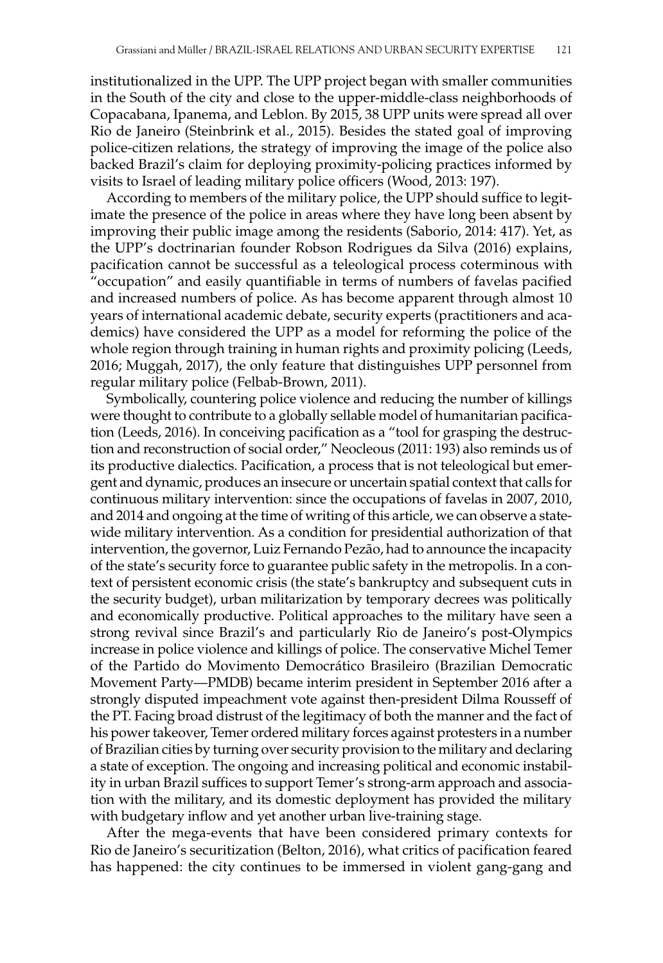institutionalized in the UPP. The UPP project began with smaller communities in the South of the city and close to the upper-middle-class neighborhoods of Copacabana, Ipanema, and Leblon. By 2015, 38 UPP units were spread all over Rio de Janeiro (Steinbrink et al., 2015). Besides the stated goal of improving police-citizen relations, the strategy of improving the image of the police also backed Brazil's claim for deploying proximity-policing practices informed by visits to Israel of leading military police officers (Wood, 2013: 197).

According to members of the military police, the UPP should suffice to legitimate the presence of the police in areas where they have long been absent by improving their public image among the residents (Saborio, 2014: 417). Yet, as the UPP's doctrinarian founder Robson Rodrigues da Silva (2016) explains, pacification cannot be successful as a teleological process coterminous with "occupation" and easily quantifiable in terms of numbers of favelas pacified and increased numbers of police. As has become apparent through almost 10 years of international academic debate, security experts (practitioners and academics) have considered the UPP as a model for reforming the police of the whole region through training in human rights and proximity policing (Leeds, 2016; Muggah, 2017), the only feature that distinguishes UPP personnel from regular military police (Felbab-Brown, 2011).

Symbolically, countering police violence and reducing the number of killings were thought to contribute to a globally sellable model of humanitarian pacification (Leeds, 2016). In conceiving pacification as a "tool for grasping the destruction and reconstruction of social order," Neocleous (2011: 193) also reminds us of its productive dialectics. Pacification, a process that is not teleological but emergent and dynamic, produces an insecure or uncertain spatial context that calls for continuous military intervention: since the occupations of favelas in 2007, 2010, and 2014 and ongoing at the time of writing of this article, we can observe a statewide military intervention. As a condition for presidential authorization of that intervention, the governor, Luiz Fernando Pezão, had to announce the incapacity of the state's security force to guarantee public safety in the metropolis. In a context of persistent economic crisis (the state's bankruptcy and subsequent cuts in the security budget), urban militarization by temporary decrees was politically and economically productive. Political approaches to the military have seen a strong revival since Brazil's and particularly Rio de Janeiro's post-Olympics increase in police violence and killings of police. The conservative Michel Temer of the Partido do Movimento Democrático Brasileiro (Brazilian Democratic Movement Party—PMDB) became interim president in September 2016 after a strongly disputed impeachment vote against then-president Dilma Rousseff of the PT. Facing broad distrust of the legitimacy of both the manner and the fact of his power takeover, Temer ordered military forces against protesters in a number of Brazilian cities by turning over security provision to the military and declaring a state of exception. The ongoing and increasing political and economic instability in urban Brazil suffices to support Temer's strong-arm approach and association with the military, and its domestic deployment has provided the military with budgetary inflow and yet another urban live-training stage.

After the mega-events that have been considered primary contexts for Rio de Janeiro's securitization (Belton, 2016), what critics of pacification feared has happened: the city continues to be immersed in violent gang-gang and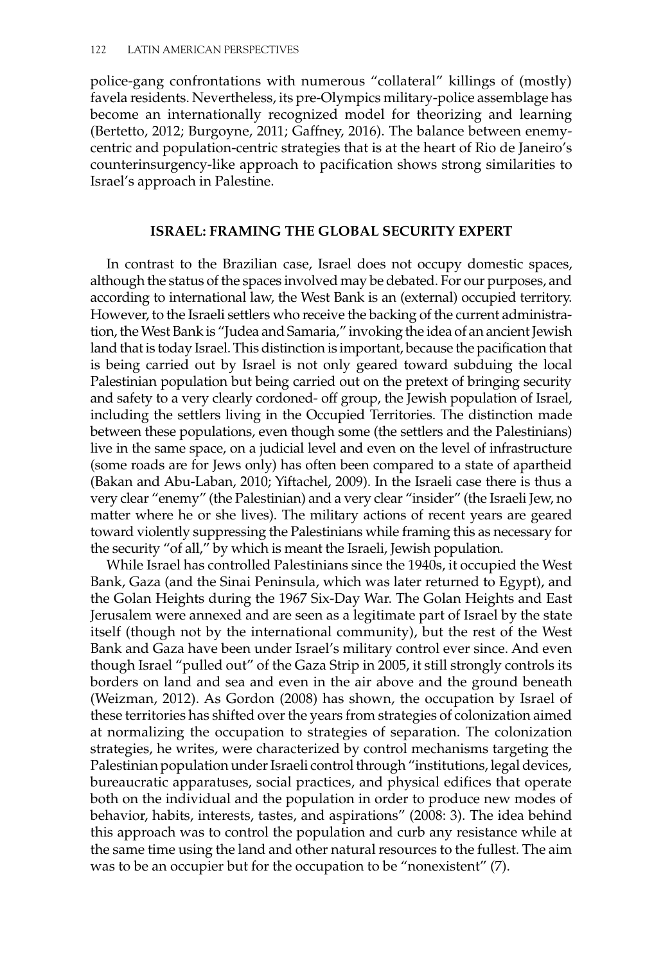police-gang confrontations with numerous "collateral" killings of (mostly) favela residents. Nevertheless, its pre-Olympics military-police assemblage has become an internationally recognized model for theorizing and learning (Bertetto, 2012; Burgoyne, 2011; Gaffney, 2016). The balance between enemycentric and population-centric strategies that is at the heart of Rio de Janeiro's counterinsurgency-like approach to pacification shows strong similarities to Israel's approach in Palestine.

## **Israel: Framing The Global Security Expert**

In contrast to the Brazilian case, Israel does not occupy domestic spaces, although the status of the spaces involved may be debated. For our purposes, and according to international law, the West Bank is an (external) occupied territory. However, to the Israeli settlers who receive the backing of the current administration, the West Bank is "Judea and Samaria," invoking the idea of an ancient Jewish land that is today Israel. This distinction is important, because the pacification that is being carried out by Israel is not only geared toward subduing the local Palestinian population but being carried out on the pretext of bringing security and safety to a very clearly cordoned- off group, the Jewish population of Israel, including the settlers living in the Occupied Territories. The distinction made between these populations, even though some (the settlers and the Palestinians) live in the same space, on a judicial level and even on the level of infrastructure (some roads are for Jews only) has often been compared to a state of apartheid (Bakan and Abu-Laban, 2010; Yiftachel, 2009). In the Israeli case there is thus a very clear "enemy" (the Palestinian) and a very clear "insider" (the Israeli Jew, no matter where he or she lives). The military actions of recent years are geared toward violently suppressing the Palestinians while framing this as necessary for the security "of all," by which is meant the Israeli, Jewish population.

While Israel has controlled Palestinians since the 1940s, it occupied the West Bank, Gaza (and the Sinai Peninsula, which was later returned to Egypt), and the Golan Heights during the 1967 Six-Day War. The Golan Heights and East Jerusalem were annexed and are seen as a legitimate part of Israel by the state itself (though not by the international community), but the rest of the West Bank and Gaza have been under Israel's military control ever since. And even though Israel "pulled out" of the Gaza Strip in 2005, it still strongly controls its borders on land and sea and even in the air above and the ground beneath (Weizman, 2012). As Gordon (2008) has shown, the occupation by Israel of these territories has shifted over the years from strategies of colonization aimed at normalizing the occupation to strategies of separation. The colonization strategies, he writes, were characterized by control mechanisms targeting the Palestinian population under Israeli control through "institutions, legal devices, bureaucratic apparatuses, social practices, and physical edifices that operate both on the individual and the population in order to produce new modes of behavior, habits, interests, tastes, and aspirations" (2008: 3). The idea behind this approach was to control the population and curb any resistance while at the same time using the land and other natural resources to the fullest. The aim was to be an occupier but for the occupation to be "nonexistent" (7).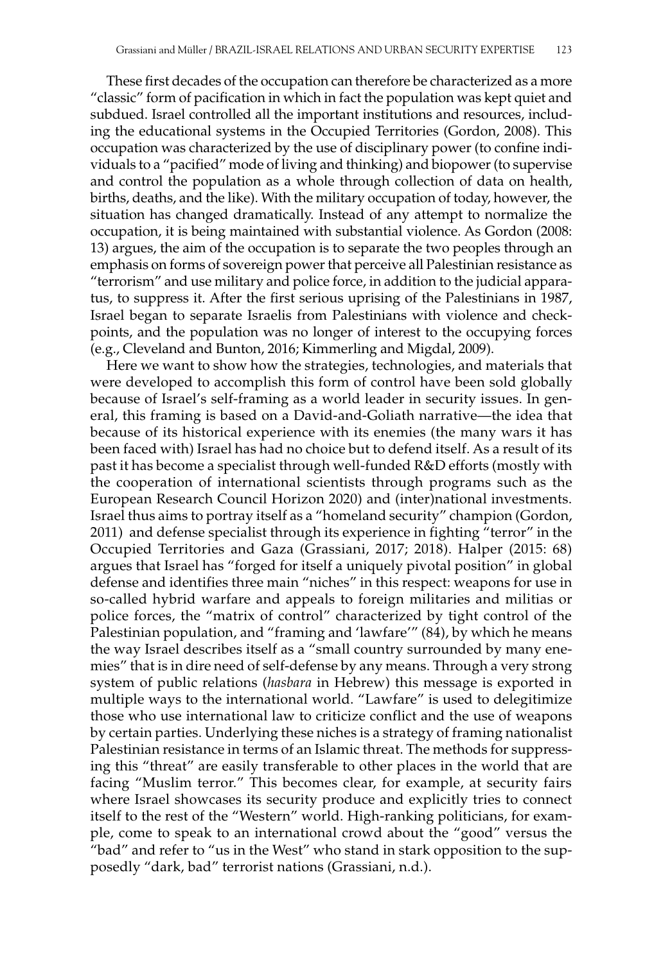These first decades of the occupation can therefore be characterized as a more "classic" form of pacification in which in fact the population was kept quiet and subdued. Israel controlled all the important institutions and resources, including the educational systems in the Occupied Territories (Gordon, 2008). This occupation was characterized by the use of disciplinary power (to confine individuals to a "pacified" mode of living and thinking) and biopower (to supervise and control the population as a whole through collection of data on health, births, deaths, and the like). With the military occupation of today, however, the situation has changed dramatically. Instead of any attempt to normalize the occupation, it is being maintained with substantial violence. As Gordon (2008: 13) argues, the aim of the occupation is to separate the two peoples through an emphasis on forms of sovereign power that perceive all Palestinian resistance as "terrorism" and use military and police force, in addition to the judicial apparatus, to suppress it. After the first serious uprising of the Palestinians in 1987, Israel began to separate Israelis from Palestinians with violence and checkpoints, and the population was no longer of interest to the occupying forces (e.g., Cleveland and Bunton, 2016; Kimmerling and Migdal, 2009).

Here we want to show how the strategies, technologies, and materials that were developed to accomplish this form of control have been sold globally because of Israel's self-framing as a world leader in security issues. In general, this framing is based on a David-and-Goliath narrative—the idea that because of its historical experience with its enemies (the many wars it has been faced with) Israel has had no choice but to defend itself. As a result of its past it has become a specialist through well-funded R&D efforts (mostly with the cooperation of international scientists through programs such as the European Research Council Horizon 2020) and (inter)national investments. Israel thus aims to portray itself as a "homeland security" champion (Gordon, 2011) and defense specialist through its experience in fighting "terror" in the Occupied Territories and Gaza (Grassiani, 2017; 2018). Halper (2015: 68) argues that Israel has "forged for itself a uniquely pivotal position" in global defense and identifies three main "niches" in this respect: weapons for use in so-called hybrid warfare and appeals to foreign militaries and militias or police forces, the "matrix of control" characterized by tight control of the Palestinian population, and "framing and 'lawfare'" (84), by which he means the way Israel describes itself as a "small country surrounded by many enemies" that is in dire need of self-defense by any means. Through a very strong system of public relations (*hasbara* in Hebrew) this message is exported in multiple ways to the international world. "Lawfare" is used to delegitimize those who use international law to criticize conflict and the use of weapons by certain parties. Underlying these niches is a strategy of framing nationalist Palestinian resistance in terms of an Islamic threat. The methods for suppressing this "threat" are easily transferable to other places in the world that are facing "Muslim terror." This becomes clear, for example, at security fairs where Israel showcases its security produce and explicitly tries to connect itself to the rest of the "Western" world. High-ranking politicians, for example, come to speak to an international crowd about the "good" versus the "bad" and refer to "us in the West" who stand in stark opposition to the supposedly "dark, bad" terrorist nations (Grassiani, n.d.).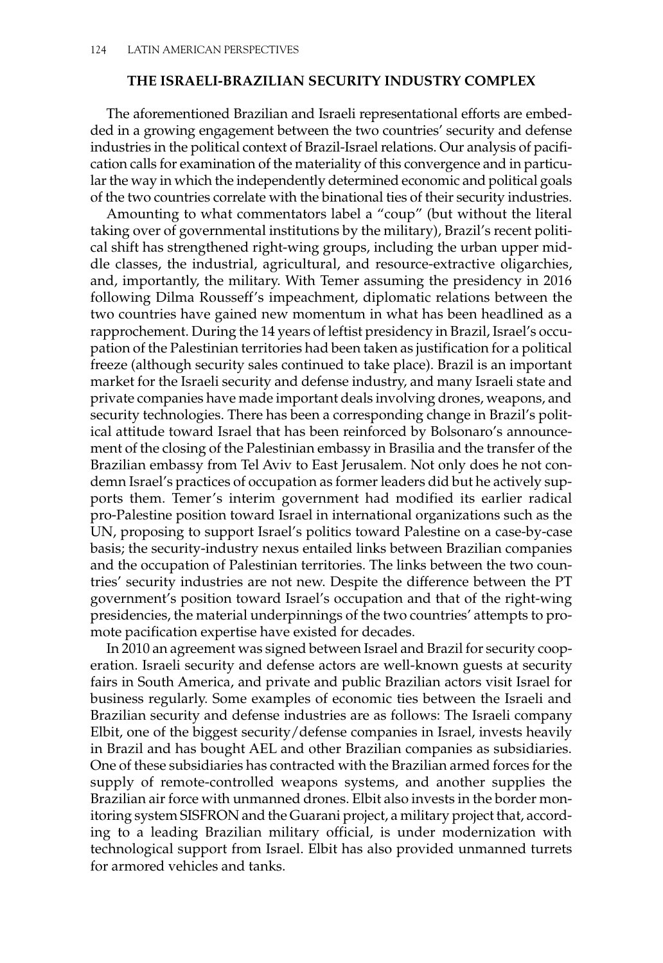## **The Israeli-Brazilian Security Industry Complex**

The aforementioned Brazilian and Israeli representational efforts are embedded in a growing engagement between the two countries' security and defense industries in the political context of Brazil-Israel relations. Our analysis of pacification calls for examination of the materiality of this convergence and in particular the way in which the independently determined economic and political goals of the two countries correlate with the binational ties of their security industries.

Amounting to what commentators label a "coup" (but without the literal taking over of governmental institutions by the military), Brazil's recent political shift has strengthened right-wing groups, including the urban upper middle classes, the industrial, agricultural, and resource-extractive oligarchies, and, importantly, the military. With Temer assuming the presidency in 2016 following Dilma Rousseff's impeachment, diplomatic relations between the two countries have gained new momentum in what has been headlined as a rapprochement. During the 14 years of leftist presidency in Brazil, Israel's occupation of the Palestinian territories had been taken as justification for a political freeze (although security sales continued to take place). Brazil is an important market for the Israeli security and defense industry, and many Israeli state and private companies have made important deals involving drones, weapons, and security technologies. There has been a corresponding change in Brazil's political attitude toward Israel that has been reinforced by Bolsonaro's announcement of the closing of the Palestinian embassy in Brasilia and the transfer of the Brazilian embassy from Tel Aviv to East Jerusalem. Not only does he not condemn Israel's practices of occupation as former leaders did but he actively supports them. Temer's interim government had modified its earlier radical pro-Palestine position toward Israel in international organizations such as the UN, proposing to support Israel's politics toward Palestine on a case-by-case basis; the security-industry nexus entailed links between Brazilian companies and the occupation of Palestinian territories. The links between the two countries' security industries are not new. Despite the difference between the PT government's position toward Israel's occupation and that of the right-wing presidencies, the material underpinnings of the two countries' attempts to promote pacification expertise have existed for decades.

In 2010 an agreement was signed between Israel and Brazil for security cooperation. Israeli security and defense actors are well-known guests at security fairs in South America, and private and public Brazilian actors visit Israel for business regularly. Some examples of economic ties between the Israeli and Brazilian security and defense industries are as follows: The Israeli company Elbit, one of the biggest security/defense companies in Israel, invests heavily in Brazil and has bought AEL and other Brazilian companies as subsidiaries. One of these subsidiaries has contracted with the Brazilian armed forces for the supply of remote-controlled weapons systems, and another supplies the Brazilian air force with unmanned drones. Elbit also invests in the border monitoring system SISFRON and the Guarani project, a military project that, according to a leading Brazilian military official, is under modernization with technological support from Israel. Elbit has also provided unmanned turrets for armored vehicles and tanks.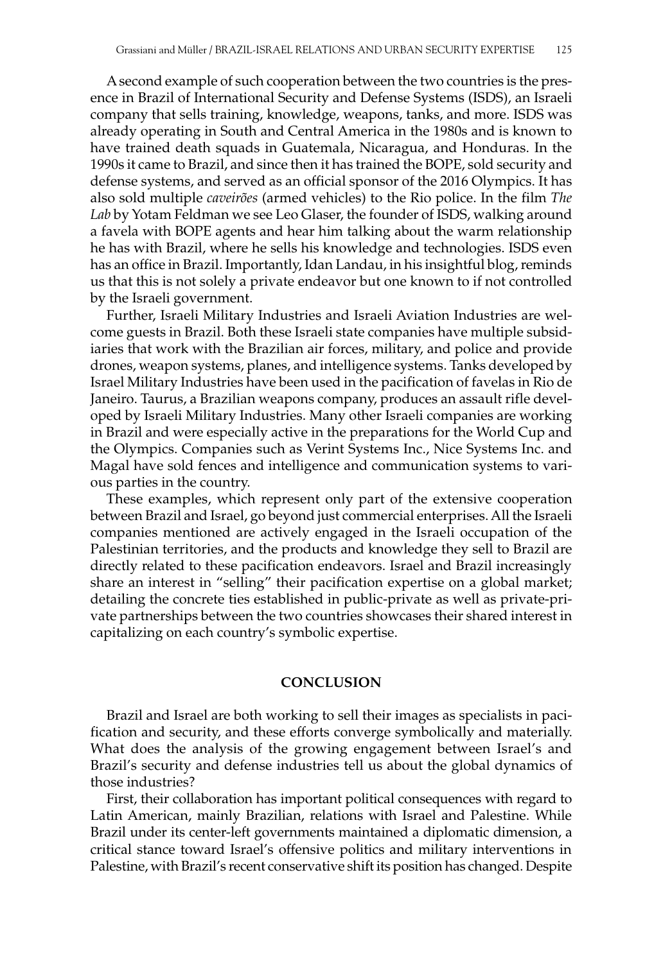A second example of such cooperation between the two countries is the presence in Brazil of International Security and Defense Systems (ISDS), an Israeli company that sells training, knowledge, weapons, tanks, and more. ISDS was already operating in South and Central America in the 1980s and is known to have trained death squads in Guatemala, Nicaragua, and Honduras. In the 1990s it came to Brazil, and since then it has trained the BOPE, sold security and defense systems, and served as an official sponsor of the 2016 Olympics. It has also sold multiple *caveirões* (armed vehicles) to the Rio police. In the film *The Lab* by Yotam Feldman we see Leo Glaser, the founder of ISDS, walking around a favela with BOPE agents and hear him talking about the warm relationship he has with Brazil, where he sells his knowledge and technologies. ISDS even has an office in Brazil. Importantly, Idan Landau, in his insightful blog, reminds us that this is not solely a private endeavor but one known to if not controlled by the Israeli government.

Further, Israeli Military Industries and Israeli Aviation Industries are welcome guests in Brazil. Both these Israeli state companies have multiple subsidiaries that work with the Brazilian air forces, military, and police and provide drones, weapon systems, planes, and intelligence systems. Tanks developed by Israel Military Industries have been used in the pacification of favelas in Rio de Janeiro. Taurus, a Brazilian weapons company, produces an assault rifle developed by Israeli Military Industries. Many other Israeli companies are working in Brazil and were especially active in the preparations for the World Cup and the Olympics. Companies such as Verint Systems Inc., Nice Systems Inc. and Magal have sold fences and intelligence and communication systems to various parties in the country.

These examples, which represent only part of the extensive cooperation between Brazil and Israel, go beyond just commercial enterprises. All the Israeli companies mentioned are actively engaged in the Israeli occupation of the Palestinian territories, and the products and knowledge they sell to Brazil are directly related to these pacification endeavors. Israel and Brazil increasingly share an interest in "selling" their pacification expertise on a global market; detailing the concrete ties established in public-private as well as private-private partnerships between the two countries showcases their shared interest in capitalizing on each country's symbolic expertise.

## **Conclusion**

Brazil and Israel are both working to sell their images as specialists in pacification and security, and these efforts converge symbolically and materially. What does the analysis of the growing engagement between Israel's and Brazil's security and defense industries tell us about the global dynamics of those industries?

First, their collaboration has important political consequences with regard to Latin American, mainly Brazilian, relations with Israel and Palestine. While Brazil under its center-left governments maintained a diplomatic dimension, a critical stance toward Israel's offensive politics and military interventions in Palestine, with Brazil's recent conservative shift its position has changed. Despite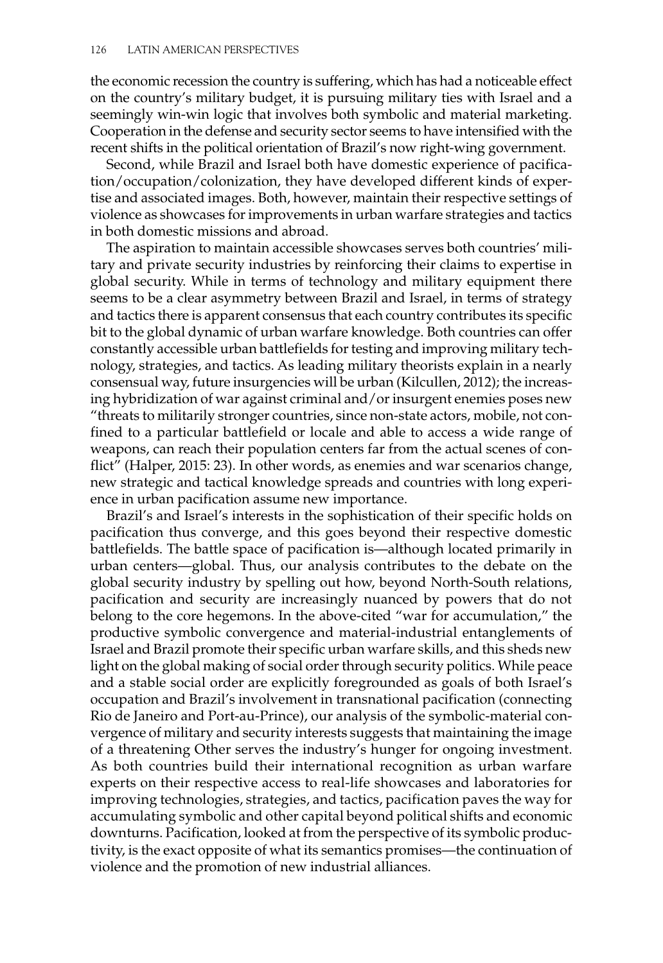the economic recession the country is suffering, which has had a noticeable effect on the country's military budget, it is pursuing military ties with Israel and a seemingly win-win logic that involves both symbolic and material marketing. Cooperation in the defense and security sector seems to have intensified with the recent shifts in the political orientation of Brazil's now right-wing government.

Second, while Brazil and Israel both have domestic experience of pacification/occupation/colonization, they have developed different kinds of expertise and associated images. Both, however, maintain their respective settings of violence as showcases for improvements in urban warfare strategies and tactics in both domestic missions and abroad.

The aspiration to maintain accessible showcases serves both countries' military and private security industries by reinforcing their claims to expertise in global security. While in terms of technology and military equipment there seems to be a clear asymmetry between Brazil and Israel, in terms of strategy and tactics there is apparent consensus that each country contributes its specific bit to the global dynamic of urban warfare knowledge. Both countries can offer constantly accessible urban battlefields for testing and improving military technology, strategies, and tactics. As leading military theorists explain in a nearly consensual way, future insurgencies will be urban (Kilcullen, 2012); the increasing hybridization of war against criminal and/or insurgent enemies poses new "threats to militarily stronger countries, since non-state actors, mobile, not confined to a particular battlefield or locale and able to access a wide range of weapons, can reach their population centers far from the actual scenes of conflict" (Halper, 2015: 23). In other words, as enemies and war scenarios change, new strategic and tactical knowledge spreads and countries with long experience in urban pacification assume new importance.

Brazil's and Israel's interests in the sophistication of their specific holds on pacification thus converge, and this goes beyond their respective domestic battlefields. The battle space of pacification is—although located primarily in urban centers—global. Thus, our analysis contributes to the debate on the global security industry by spelling out how, beyond North-South relations, pacification and security are increasingly nuanced by powers that do not belong to the core hegemons. In the above-cited "war for accumulation," the productive symbolic convergence and material-industrial entanglements of Israel and Brazil promote their specific urban warfare skills, and this sheds new light on the global making of social order through security politics. While peace and a stable social order are explicitly foregrounded as goals of both Israel's occupation and Brazil's involvement in transnational pacification (connecting Rio de Janeiro and Port-au-Prince), our analysis of the symbolic-material convergence of military and security interests suggests that maintaining the image of a threatening Other serves the industry's hunger for ongoing investment. As both countries build their international recognition as urban warfare experts on their respective access to real-life showcases and laboratories for improving technologies, strategies, and tactics, pacification paves the way for accumulating symbolic and other capital beyond political shifts and economic downturns. Pacification, looked at from the perspective of its symbolic productivity, is the exact opposite of what its semantics promises—the continuation of violence and the promotion of new industrial alliances.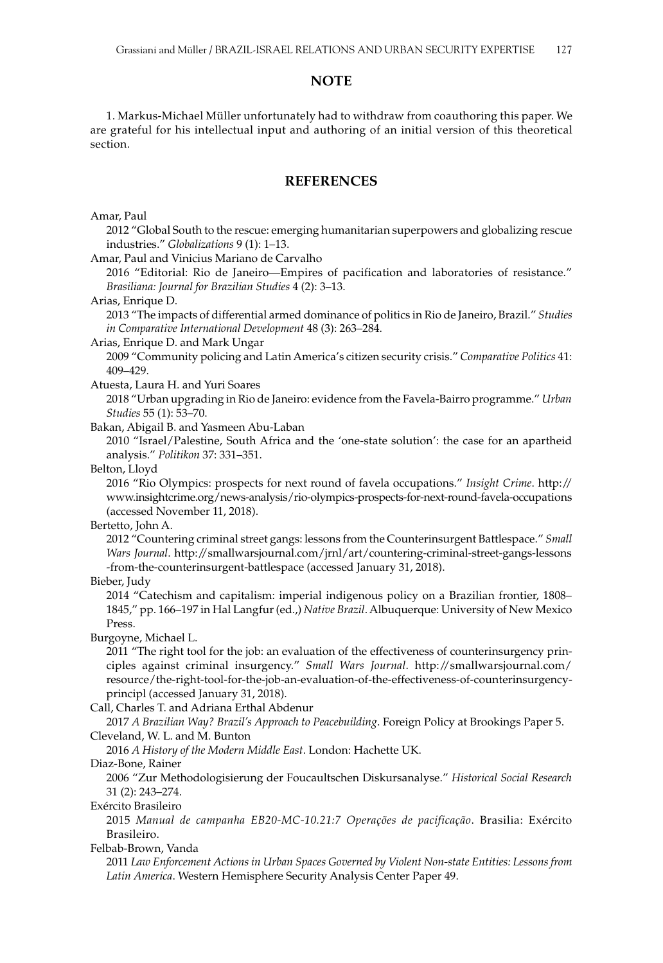#### **NOTE**

1. Markus-Michael Müller unfortunately had to withdraw from coauthoring this paper. We are grateful for his intellectual input and authoring of an initial version of this theoretical section.

## **References**

#### Amar, Paul

2012 "Global South to the rescue: emerging humanitarian superpowers and globalizing rescue industries." *Globalizations* 9 (1): 1–13.

Amar, Paul and Vinicius Mariano de Carvalho

2016 "Editorial: Rio de Janeiro—Empires of pacification and laboratories of resistance." *Brasiliana: Journal for Brazilian Studies* 4 (2): 3–13.

Arias, Enrique D.

2013 "The impacts of differential armed dominance of politics in Rio de Janeiro, Brazil." *Studies in Comparative International Development* 48 (3): 263–284.

Arias, Enrique D. and Mark Ungar

2009 "Community policing and Latin America's citizen security crisis." *Comparative Politics* 41: 409–429.

Atuesta, Laura H. and Yuri Soares

2018 "Urban upgrading in Rio de Janeiro: evidence from the Favela-Bairro programme." *Urban Studies* 55 (1): 53–70.

Bakan, Abigail B. and Yasmeen Abu-Laban

2010 "Israel/Palestine, South Africa and the 'one-state solution': the case for an apartheid analysis." *Politikon* 37: 331–351.

Belton, Lloyd

2016 "Rio Olympics: prospects for next round of favela occupations." *Insight Crime*. [http://](http://www.insightcrime.org/news-analysis/rio-olympics-prospects-for-next-round-favela-occupations) [www.insightcrime.org/news-analysis/rio-olympics-prospects-for-next-round-favela-occupations](http://www.insightcrime.org/news-analysis/rio-olympics-prospects-for-next-round-favela-occupations)  (accessed November 11, 2018).

Bertetto, John A.

2012 "Countering criminal street gangs: lessons from the Counterinsurgent Battlespace." *Small Wars Journal*. [http://smallwarsjournal.com/jrnl/art/countering-criminal-street-gangs-lessons](http://smallwarsjournal.com/jrnl/art/countering-criminal-street-gangs-lessons-from-the-counterinsurgent-battlespace) [-from-the-counterinsurgent-battlespace](http://smallwarsjournal.com/jrnl/art/countering-criminal-street-gangs-lessons-from-the-counterinsurgent-battlespace) (accessed January 31, 2018).

Bieber, Judy

2014 "Catechism and capitalism: imperial indigenous policy on a Brazilian frontier, 1808– 1845," pp. 166–197 in Hal Langfur (ed.,) *Native Brazil*. Albuquerque: University of New Mexico Press.

Burgoyne, Michael L.

2011 "The right tool for the job: an evaluation of the effectiveness of counterinsurgency principles against criminal insurgency." *Small Wars Journal*. [http://smallwarsjournal.com/](http://smallwarsjournal.com/resource/the-right-tool-for-the-job-an-evaluation-of-the-effectiveness-of-counterinsurgency-principl) [resource/the-right-tool-for-the-job-an-evaluation-of-the-effectiveness-of-counterinsurgency](http://smallwarsjournal.com/resource/the-right-tool-for-the-job-an-evaluation-of-the-effectiveness-of-counterinsurgency-principl)[principl](http://smallwarsjournal.com/resource/the-right-tool-for-the-job-an-evaluation-of-the-effectiveness-of-counterinsurgency-principl) (accessed January 31, 2018).

Call, Charles T. and Adriana Erthal Abdenur

2017 *A Brazilian Way? Brazil's Approach to Peacebuilding*. Foreign Policy at Brookings Paper 5. Cleveland, W. L. and M. Bunton

2016 *A History of the Modern Middle East*. London: Hachette UK.

Diaz-Bone, Rainer

2006 "Zur Methodologisierung der Foucaultschen Diskursanalyse." *Historical Social Research* 31 (2): 243–274.

Exército Brasileiro

2015 *Manual de campanha EB20-MC-10.21:7 Operações de pacificação*. Brasilia: Exército Brasileiro.

Felbab-Brown, Vanda

2011 *Law Enforcement Actions in Urban Spaces Governed by Violent Non-state Entities: Lessons from Latin America*. Western Hemisphere Security Analysis Center Paper 49.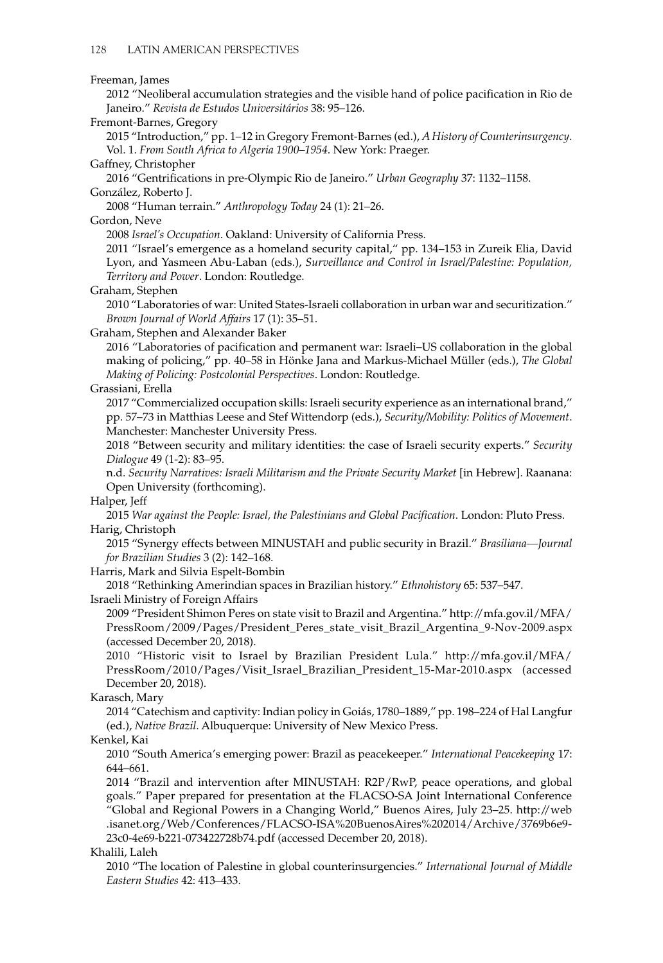#### Freeman, James

2012 "Neoliberal accumulation strategies and the visible hand of police pacification in Rio de Janeiro." *Revista de Estudos Universitários* 38: 95–126.

#### Fremont-Barnes, Gregory

2015 "Introduction," pp. 1–12 in Gregory Fremont-Barnes (ed.), *A History of Counterinsurgency*. Vol. 1. *From South Africa to Algeria 1900–1954*. New York: Praeger.

Gaffney, Christopher

2016 "Gentrifications in pre-Olympic Rio de Janeiro." *Urban Geography* 37: 1132–1158. González, Roberto J.

2008 "Human terrain." *Anthropology Today* 24 (1): 21–26.

Gordon, Neve

2008 *Israel's Occupation*. Oakland: University of California Press.

2011 "Israel's emergence as a homeland security capital," pp. 134–153 in Zureik Elia, David Lyon, and Yasmeen Abu-Laban (eds.), *Surveillance and Control in Israel/Palestine: Population, Territory and Power*. London: Routledge.

Graham, Stephen

2010 "Laboratories of war: United States-Israeli collaboration in urban war and securitization." *Brown Journal of World Affairs* 17 (1): 35–51.

Graham, Stephen and Alexander Baker

2016 "Laboratories of pacification and permanent war: Israeli–US collaboration in the global making of policing," pp. 40–58 in Hönke Jana and Markus-Michael Müller (eds.), *The Global Making of Policing: Postcolonial Perspectives*. London: Routledge.

## Grassiani, Erella

2017 "Commercialized occupation skills: Israeli security experience as an international brand," pp. 57–73 in Matthias Leese and Stef Wittendorp (eds.), *Security/Mobility: Politics of Movement*. Manchester: Manchester University Press.

2018 "Between security and military identities: the case of Israeli security experts." *Security Dialogue* 49 (1-2): 83–95.

n.d. *Security Narratives: Israeli Militarism and the Private Security Market* [in Hebrew]. Raanana: Open University (forthcoming).

Halper, Jeff

2015 *War against the People: Israel, the Palestinians and Global Pacification*. London: Pluto Press. Harig, Christoph

2015 "Synergy effects between MINUSTAH and public security in Brazil." *Brasiliana—Journal for Brazilian Studies* 3 (2): 142–168.

Harris, Mark and Silvia Espelt-Bombin

2018 "Rethinking Amerindian spaces in Brazilian history." *Ethnohistory* 65: 537–547.

Israeli Ministry of Foreign Affairs

2009 "President Shimon Peres on state visit to Brazil and Argentina." [http://mfa.gov.il/MFA/](http://mfa.gov.il/MFA/PressRoom/2009/Pages/President_Peres_state_visit_Brazil_Argentina_9-Nov-2009.aspx) [PressRoom/2009/Pages/President\\_Peres\\_state\\_visit\\_Brazil\\_Argentina\\_9-Nov-2009.aspx](http://mfa.gov.il/MFA/PressRoom/2009/Pages/President_Peres_state_visit_Brazil_Argentina_9-Nov-2009.aspx)  (accessed December 20, 2018).

2010 "Historic visit to Israel by Brazilian President Lula." [http://mfa.gov.il/MFA/](http://mfa.gov.il/MFA/PressRoom/2010/Pages/Visit_Israel_Brazilian_President_15-Mar-2010.aspx) [PressRoom/2010/Pages/Visit\\_Israel\\_Brazilian\\_President\\_15-Mar-2010.aspx](http://mfa.gov.il/MFA/PressRoom/2010/Pages/Visit_Israel_Brazilian_President_15-Mar-2010.aspx) (accessed December 20, 2018).

Karasch, Mary

2014 "Catechism and captivity: Indian policy in Goiás, 1780–1889," pp. 198–224 of Hal Langfur (ed.), *Native Brazil*. Albuquerque: University of New Mexico Press.

Kenkel, Kai

2010 "South America's emerging power: Brazil as peacekeeper." *International Peacekeeping* 17: 644–661.

2014 "Brazil and intervention after MINUSTAH: R2P/RwP, peace operations, and global goals." Paper prepared for presentation at the FLACSO-SA Joint International Conference "Global and Regional Powers in a Changing World," Buenos Aires, July 23–25. [http://web](http://web.isanet.org/Web/Conferences/FLACSO-ISA%20BuenosAires%202014/Archive/3769b6e9-23c0-4e69-b221-073422728b74.pdf) [.isanet.org/Web/Conferences/FLACSO-ISA%20BuenosAires%202014/Archive/3769b6e9-](http://web.isanet.org/Web/Conferences/FLACSO-ISA%20BuenosAires%202014/Archive/3769b6e9-23c0-4e69-b221-073422728b74.pdf) [23c0-4e69-b221-073422728b74.pdf](http://web.isanet.org/Web/Conferences/FLACSO-ISA%20BuenosAires%202014/Archive/3769b6e9-23c0-4e69-b221-073422728b74.pdf) (accessed December 20, 2018).

Khalili, Laleh

2010 "The location of Palestine in global counterinsurgencies." *International Journal of Middle Eastern Studies* 42: 413–433.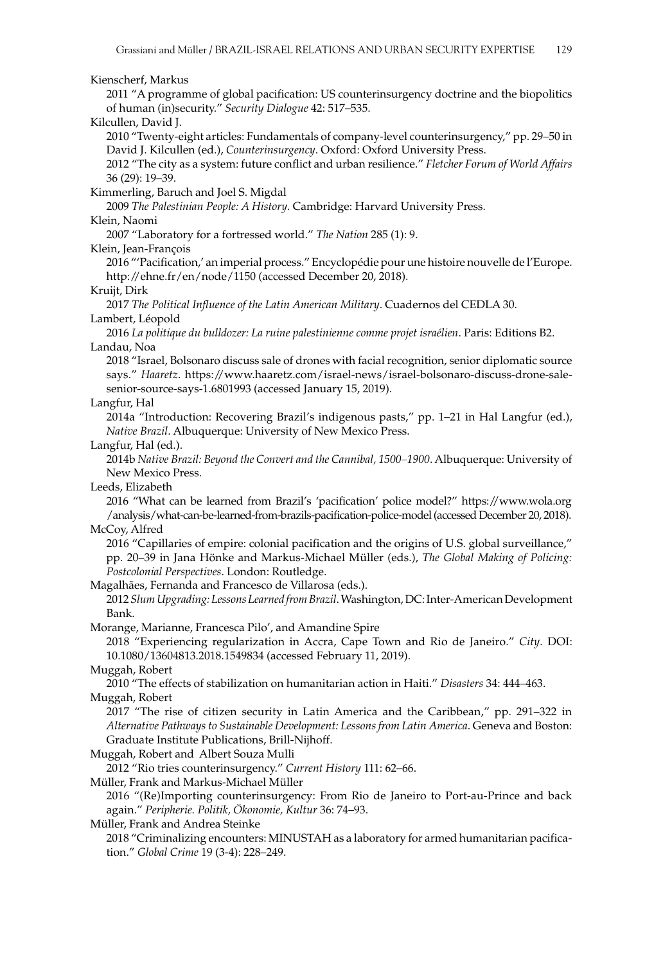#### Kienscherf, Markus

2011 "A programme of global pacification: US counterinsurgency doctrine and the biopolitics of human (in)security." *Security Dialogue* 42: 517–535.

#### Kilcullen, David J.

2010 "Twenty-eight articles: Fundamentals of company-level counterinsurgency," pp. 29–50 in David J. Kilcullen (ed.), *Counterinsurgency*. Oxford: Oxford University Press.

2012 "The city as a system: future conflict and urban resilience." *Fletcher Forum of World Affairs* 36 (29): 19–39.

#### Kimmerling, Baruch and Joel S. Migdal

2009 *The Palestinian People: A History*. Cambridge: Harvard University Press.

#### Klein, Naomi

2007 "Laboratory for a fortressed world." *The Nation* 285 (1): 9.

Klein, Jean-François

2016 "'Pacification,' an imperial process." Encyclopédie pour une histoire nouvelle de l'Europe. <http://ehne.fr/en/node/1150> (accessed December 20, 2018).

#### Kruijt, Dirk

2017 *The Political Influence of the Latin American Military*. Cuadernos del CEDLA 30. Lambert, Léopold

2016 *La politique du bulldozer: La ruine palestinienne comme projet israélien*. Paris: Editions B2. Landau, Noa

2018 "Israel, Bolsonaro discuss sale of drones with facial recognition, senior diplomatic source says." *Haaretz*. [https://www.haaretz.com/israel-news/israel-bolsonaro-discuss-drone-sale](https://www.haaretz.com/israel-news/israel-bolsonaro-discuss-drone-sale-senior-source-says-1.6801993)[senior-source-says-1.6801993](https://www.haaretz.com/israel-news/israel-bolsonaro-discuss-drone-sale-senior-source-says-1.6801993) (accessed January 15, 2019).

#### Langfur, Hal

2014a "Introduction: Recovering Brazil's indigenous pasts," pp. 1–21 in Hal Langfur (ed.), *Native Brazil*. Albuquerque: University of New Mexico Press.

#### Langfur, Hal (ed.).

2014b *Native Brazil: Beyond the Convert and the Cannibal, 1500–1900*. Albuquerque: University of New Mexico Press.

#### Leeds, Elizabeth

2016 "What can be learned from Brazil's 'pacification' police model?" [https://www.wola.org](https://www.wola.org/analysis/what-can-be-learned-from-brazils-pacification-police-model) [/analysis/what-can-be-learned-from-brazils-pacification-police-model](https://www.wola.org/analysis/what-can-be-learned-from-brazils-pacification-police-model) (accessed December 20, 2018).

### McCoy, Alfred

2016 "Capillaries of empire: colonial pacification and the origins of U.S. global surveillance," pp. 20–39 in Jana Hönke and Markus-Michael Müller (eds.), *The Global Making of Policing: Postcolonial Perspectives*. London: Routledge.

Magalhães, Fernanda and Francesco de Villarosa (eds.).

2012 *Slum Upgrading: Lessons Learned from Brazil*. Washington, DC: Inter-American Development Bank.

Morange, Marianne, Francesca Pilo', and Amandine Spire

2018 "Experiencing regularization in Accra, Cape Town and Rio de Janeiro." *City*. DOI: 10.1080/13604813.2018.1549834 (accessed February 11, 2019).

#### Muggah, Robert

2010 "The effects of stabilization on humanitarian action in Haiti." *Disasters* 34: 444–463. Muggah, Robert

2017 "The rise of citizen security in Latin America and the Caribbean," pp. 291–322 in *Alternative Pathways to Sustainable Development: Lessons from Latin America*. Geneva and Boston: Graduate Institute Publications, Brill-Nijhoff.

Muggah, Robert and Albert Souza Mulli

2012 "Rio tries counterinsurgency." *Current History* 111: 62–66.

#### Müller, Frank and Markus-Michael Müller

2016 "(Re)Importing counterinsurgency: From Rio de Janeiro to Port-au-Prince and back again." *Peripherie. Politik, Ökonomie, Kultur* 36: 74–93.

#### Müller, Frank and Andrea Steinke

2018 "Criminalizing encounters: MINUSTAH as a laboratory for armed humanitarian pacification." *Global Crime* 19 (3-4): 228–249.